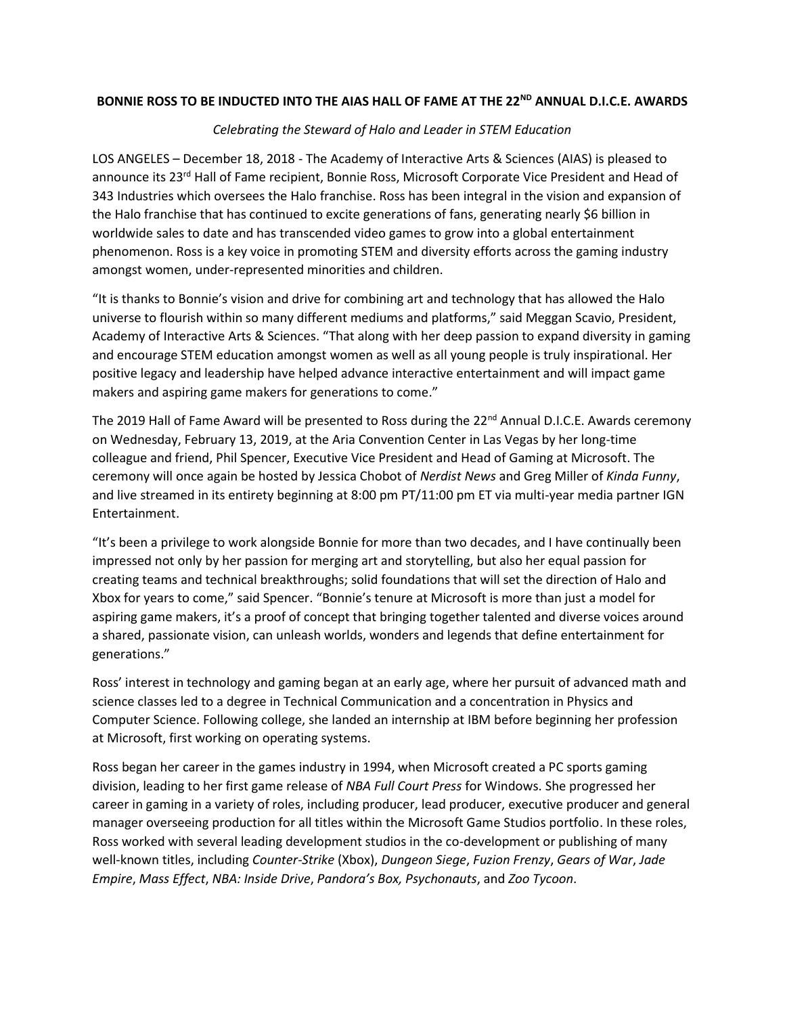## **BONNIE ROSS TO BE INDUCTED INTO THE AIAS HALL OF FAME AT THE 22ND ANNUAL D.I.C.E. AWARDS**

## *Celebrating the Steward of Halo and Leader in STEM Education*

LOS ANGELES – December 18, 2018 - The Academy of Interactive Arts & Sciences (AIAS) is pleased to announce its 23<sup>rd</sup> Hall of Fame recipient, Bonnie Ross, Microsoft Corporate Vice President and Head of 343 Industries which oversees the Halo franchise. Ross has been integral in the vision and expansion of the Halo franchise that has continued to excite generations of fans, generating nearly \$6 billion in worldwide sales to date and has transcended video games to grow into a global entertainment phenomenon. Ross is a key voice in promoting STEM and diversity efforts across the gaming industry amongst women, under-represented minorities and children.

"It is thanks to Bonnie's vision and drive for combining art and technology that has allowed the Halo universe to flourish within so many different mediums and platforms," said Meggan Scavio, President, Academy of Interactive Arts & Sciences. "That along with her deep passion to expand diversity in gaming and encourage STEM education amongst women as well as all young people is truly inspirational. Her positive legacy and leadership have helped advance interactive entertainment and will impact game makers and aspiring game makers for generations to come."

The 2019 Hall of Fame Award will be presented to Ross during the  $22<sup>nd</sup>$  Annual D.I.C.E. Awards ceremony on Wednesday, February 13, 2019, at the Aria Convention Center in Las Vegas by her long-time colleague and friend, Phil Spencer, Executive Vice President and Head of Gaming at Microsoft. The ceremony will once again be hosted by Jessica Chobot of *Nerdist News* and Greg Miller of *Kinda Funny*, and live streamed in its entirety beginning at 8:00 pm PT/11:00 pm ET via multi-year media partner IGN Entertainment.

"It's been a privilege to work alongside Bonnie for more than two decades, and I have continually been impressed not only by her passion for merging art and storytelling, but also her equal passion for creating teams and technical breakthroughs; solid foundations that will set the direction of Halo and Xbox for years to come," said Spencer. "Bonnie's tenure at Microsoft is more than just a model for aspiring game makers, it's a proof of concept that bringing together talented and diverse voices around a shared, passionate vision, can unleash worlds, wonders and legends that define entertainment for generations."

Ross' interest in technology and gaming began at an early age, where her pursuit of advanced math and science classes led to a degree in Technical Communication and a concentration in Physics and Computer Science. Following college, she landed an internship at IBM before beginning her profession at Microsoft, first working on operating systems.

Ross began her career in the games industry in 1994, when Microsoft created a PC sports gaming division, leading to her first game release of *NBA Full Court Press* for Windows. She progressed her career in gaming in a variety of roles, including producer, lead producer, executive producer and general manager overseeing production for all titles within the Microsoft Game Studios portfolio. In these roles, Ross worked with several leading development studios in the co-development or publishing of many well-known titles, including *Counter-Strike* (Xbox), *Dungeon Siege*, *Fuzion Frenzy*, *Gears of War*, *Jade Empire*, *Mass Effect*, *NBA: Inside Drive*, *Pandora's Box, Psychonauts*, and *Zoo Tycoon*.